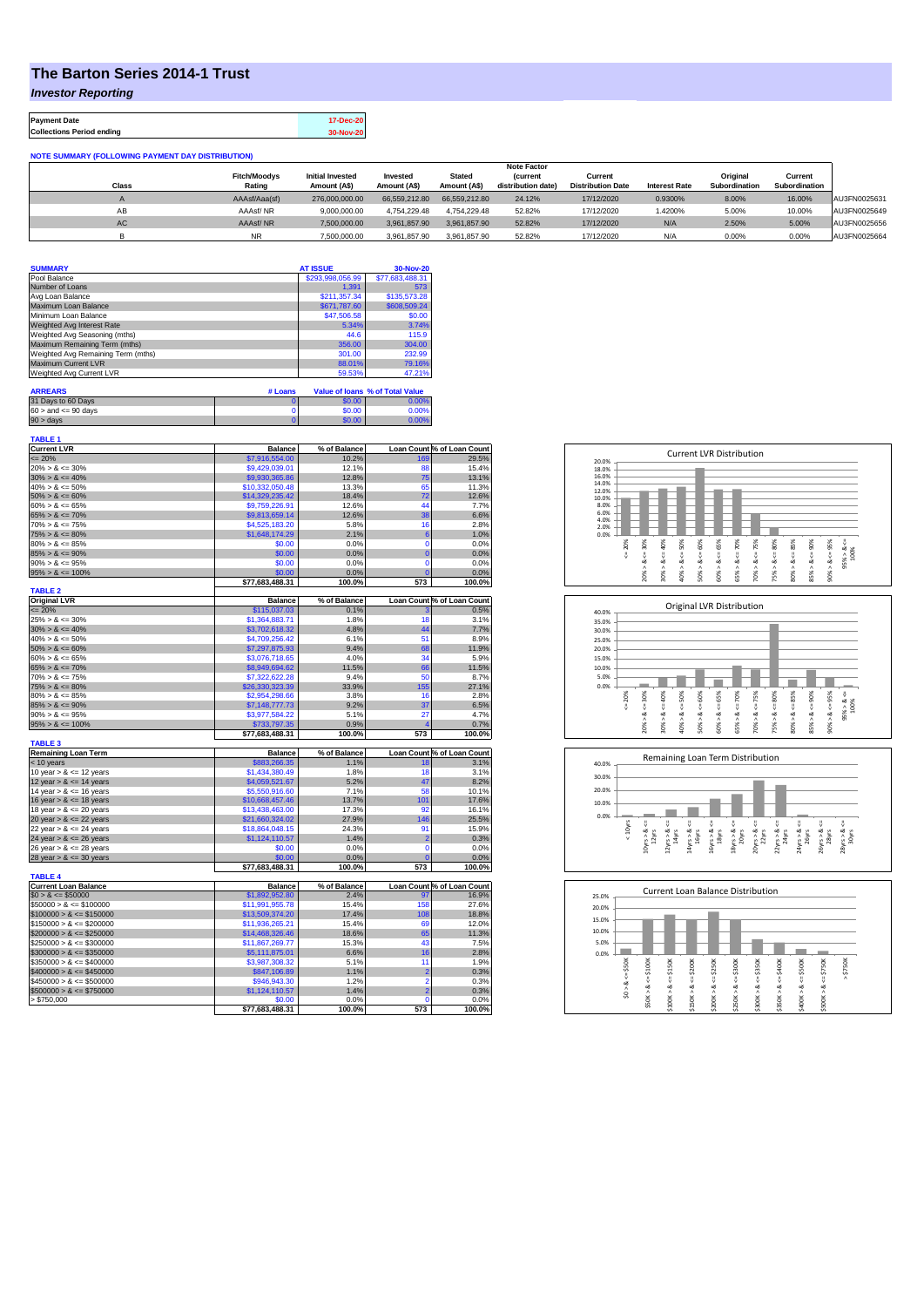## **The Barton Series 2014-1 Trust**

*Investor Reporting*

**Payment Date 17-Dec-20 Collections Period ending 30-Nov-20**

| <b>NOTE SUMMARY (FOLLOWING PAYMENT DAY DISTRIBUTION)</b> |                               |                         |               |               |                                       |                                     |                      |                           |                          |              |
|----------------------------------------------------------|-------------------------------|-------------------------|---------------|---------------|---------------------------------------|-------------------------------------|----------------------|---------------------------|--------------------------|--------------|
|                                                          | <b>Note Factor</b>            |                         |               |               |                                       |                                     |                      |                           |                          |              |
|                                                          | <b>Fitch/Moodys</b><br>Rating | <b>Initial Invested</b> | Invested      | <b>Stated</b> | <b>(current</b><br>distribution date) | Current<br><b>Distribution Date</b> | <b>Interest Rate</b> | Original<br>Subordination | Current<br>Subordination |              |
| <b>Class</b>                                             |                               | Amount (A\$)            | Amount (A\$)  | Amount (A\$)  |                                       |                                     |                      |                           |                          |              |
|                                                          | AAAsf/Aaa(sf)                 | 276,000,000,00          | 66.559.212.80 | 66.559.212.80 | 24.12%                                | 17/12/2020                          | 0.9300%              | 8.00%                     | 16.00%                   | AU3FN0025631 |
| AB                                                       | AAAsf/NR                      | 9.000.000.00            | 4.754.229.48  | 4.754.229.48  | 52.82%                                | 17/12/2020                          | .4200%               | 5.00%                     | 10.00%                   | AU3FN0025649 |
| AC                                                       | AAAsf/NR                      | 7,500,000.00            | 3.961.857.90  | 3.961.857.90  | 52.82%                                | 17/12/2020                          | N/A                  | 2.50%                     | 5.00%                    | AU3FN0025656 |
|                                                          | NR.                           | 7.500.000.00            | 3.961.857.90  | 3.961.857.90  | 52.82%                                | 17/12/2020                          | N/A                  | 0.00%                     | 0.00%                    | AU3FN0025664 |

| <b>SUMMARY</b>                     | <b>AT ISSUE</b>  | 30-Nov-20       |
|------------------------------------|------------------|-----------------|
| Pool Balance                       | \$293,998,056.99 | \$77,683,488.31 |
| Number of Loans                    | 1.391            | 573             |
| Avg Loan Balance                   | \$211,357.34     | \$135,573.28    |
| Maximum Loan Balance               | \$671,787.60     | \$608,509.24    |
| Minimum Loan Balance               | \$47,506.58      | \$0.00          |
| Weighted Avg Interest Rate         | 5.34%            | 3.74%           |
| Weighted Avg Seasoning (mths)      | 44.6             | 115.9           |
| Maximum Remaining Term (mths)      | 356.00           | 304.00          |
| Weighted Avg Remaining Term (mths) | 301.00           | 232.99          |
| Maximum Current LVR                | 88.01%           | 79.16%          |
| Weighted Avg Current LVR           | 59.53%           | 47.21%          |

| <b>ARREARS</b>            | # Loans |        | Value of Ioans % of Total Value |
|---------------------------|---------|--------|---------------------------------|
| 31 Days to 60 Days        |         | \$0.00 | 0.00%                           |
| $60 >$ and $\leq 90$ days |         | \$0.00 | 0.00%                           |
| 90 > davs                 |         | \$0.00 | $0.00\%$                        |

| TABLE <sub>1</sub>          |                 |              |                |                            |
|-----------------------------|-----------------|--------------|----------------|----------------------------|
| <b>Current LVR</b>          | <b>Balance</b>  | % of Balance |                | Loan Count % of Loan Count |
| $= 20%$                     | \$7,916,554.00  | 10.2%        | 169            | 29.5%                      |
| $20\% > 8 \le 30\%$         | \$9,429,039.01  | 12.1%        | 88             | 15.4%                      |
| $30\% > 8 \le 40\%$         | \$9,930,365.86  | 12.8%        | 75             | 13.1%                      |
| $40\% > 8 \le 50\%$         | \$10,332,050.48 | 13.3%        | 65             | 11.3%                      |
| $50\% > 8 \le 60\%$         | \$14,329,235.42 | 18.4%        | 72             | 12.6%                      |
| $60\% > 8 \le 65\%$         | \$9,759,226.91  | 12.6%        | 44             | 7.7%                       |
| $65\% > 8 \le 70\%$         | \$9,813,659.14  | 12.6%        | 38             | 6.6%                       |
| $70\% > 8 \le 75\%$         | \$4,525,183.20  | 5.8%         | 16             | 2.8%                       |
| $75\% > 8 \le 80\%$         | \$1,648,174.29  | 2.1%         | 6              | 1.0%                       |
| $80\% > 8 \le 85\%$         | \$0.00          | 0.0%         | $\mathbf 0$    | 0.0%                       |
| $85\% > 8 \le 90\%$         | \$0.00          | 0.0%         | $\overline{0}$ | 0.0%                       |
|                             |                 |              | $\Omega$       |                            |
| $90\% > 8 \le 95\%$         | \$0.00          | 0.0%         |                | 0.0%                       |
| $95\% > 8 \le 100\%$        | \$0.00          | 0.0%         | $\overline{0}$ | 0.0%                       |
|                             | \$77,683,488.31 | 100.0%       | 573            | 100.0%                     |
| <b>TABLE 2</b>              |                 |              |                |                            |
| <b>Original LVR</b>         | <b>Balance</b>  | % of Balance |                | Loan Count % of Loan Count |
| $= 20%$                     | \$115,037.03    | 0.1%         | з              | 0.5%                       |
| $25\% > 8 \le 30\%$         | \$1,364,883.71  | 1.8%         | 18             | 3.1%                       |
| $30\% > 8 \le 40\%$         | \$3,702,618.32  | 4.8%         | 44             | 7.7%                       |
| $40\% > 8 \le 50\%$         | \$4,709,256.42  | 6.1%         | 51             | 8.9%                       |
| $50\% > 8 \le 60\%$         | \$7,297,875.93  | 9.4%         | 68             | 11.9%                      |
| $60\% > 8 \le 65\%$         | \$3,076,718.65  | 4.0%         | 34             | 5.9%                       |
| $65\% > 8 \le 70\%$         | \$8,949,694.62  | 11.5%        | 66             | 11.5%                      |
| $70\% > 8 \le 75\%$         | \$7,322,622.28  | 9.4%         | 50             | 8.7%                       |
| $75\% > 8 \le 80\%$         | \$26,330,323.39 | 33.9%        | 155            | 27.1%                      |
| $80\% > 8 \le 85\%$         | \$2,954,298.66  | 3.8%         | 16             | 2.8%                       |
| $85\% > 8 \leq 90\%$        | \$7,148,777.73  | 9.2%         | 37             | 6.5%                       |
| $90\% > 8 \le 95\%$         | \$3,977,584.22  | 5.1%         | 27             | 4.7%                       |
|                             |                 | 0.9%         | 4              |                            |
| $95\% > 8 \le 100\%$        | \$733,797.35    |              |                | 0.7%                       |
|                             |                 |              |                |                            |
|                             | \$77,683,488.31 | 100.0%       | 573            | 100.0%                     |
| <b>TABLE 3</b>              |                 |              |                |                            |
| <b>Remaining Loan Term</b>  | <b>Balance</b>  | % of Balance |                | Loan Count % of Loan Count |
| < 10 years                  | \$883,266.35    | 1.1%         | 18             | 3.1%                       |
| 10 year $> 8 \le 12$ years  | \$1,434,380.49  | 1.8%         | 18             | 3.1%                       |
| 12 year $> 8 \le 14$ years  | \$4,059,521.67  | 5.2%         | 47             | 8.2%                       |
| 14 year $> 8 \le 16$ years  | \$5,550,916.60  | 7.1%         | 58             | 10.1%                      |
| 16 year $> 8 \le 18$ years  | \$10,668,457.46 | 13.7%        | 101            | 17.6%                      |
| 18 year $> 8 \le 20$ years  | \$13,438,463.00 | 17.3%        | 92             | 16.1%                      |
| 20 year $> 8 \le 22$ years  | \$21,660,324.02 | 27.9%        | 146            | 25.5%                      |
| 22 year $> 8 \le 24$ years  | \$18,864,048.15 | 24.3%        | 91             | 15.9%                      |
| 24 year $> 8 \le 26$ years  | \$1,124,110.57  | 1.4%         | $\overline{2}$ | 0.3%                       |
| 26 year $> 8 \le 28$ years  | \$0.00          | 0.0%         | 0              | 0.0%                       |
|                             |                 |              | $\overline{0}$ |                            |
| 28 year $> 8 \le 30$ years  | \$0.00          | 0.0%         |                | 0.0%                       |
|                             | \$77,683,488.31 | 100.0%       | 573            | 100.0%                     |
| <b>TABLE 4</b>              |                 |              |                |                            |
| <b>Current Loan Balance</b> | <b>Balance</b>  | % of Balance |                | Loan Count % of Loan Count |
| $$0 > 8 \le $50000$         | \$1,892,952.80  | 2.4%         | 97             | 16.9%                      |
| $$50000 > 8 \le $100000$    | \$11,991,955.78 | 15.4%        | 158            | 27.6%                      |
| $$100000 > 8 \leq $150000$  | \$13,509,374.20 | 17.4%        | 108            | 18.8%                      |
| $$150000 > 8 \le $200000$   | \$11,936,265.21 | 15.4%        | 69             | 12.0%                      |
| $$200000 > 8 \leq $250000$  | \$14,468,326.46 | 18.6%        | 65             | 11.3%                      |
| $$250000 > 8 \leq $300000$  | \$11,867,269.77 | 15.3%        | 43             | 7.5%                       |
| $$300000 > 8 \leq $350000$  | \$5,111,875.01  | 6.6%         | 16             | 2.8%                       |
| $$350000 > 8 \le $400000$   | \$3,987,308.32  | 5.1%         | 11             | 1.9%                       |
| $$400000 > 8 \leq $450000$  | \$847,106.89    | 1.1%         | $\overline{2}$ | 0.3%                       |
| $$450000 > 8 \leq $500000$  | \$946,943.30    | 1.2%         | $\overline{2}$ | 0.3%                       |
| $$500000 > 8 \leq $750000$  | \$1,124,110.57  | 1.4%         | $\overline{2}$ | 0.3%                       |
| > \$750,000                 | \$0.00          | 0.0%         | 0              | 0.0%                       |







| 25.0% |            |        | Current Loan Balance Distribution |         |        |         |        |         |        |         |          |  |
|-------|------------|--------|-----------------------------------|---------|--------|---------|--------|---------|--------|---------|----------|--|
| 20.0% |            |        |                                   |         |        |         |        |         |        |         |          |  |
| 15.0% |            |        |                                   |         |        |         |        |         |        |         |          |  |
| 10.0% |            |        |                                   |         |        |         |        |         |        |         |          |  |
| 5.0%  |            |        |                                   |         |        |         |        |         |        |         |          |  |
| 0.0%  |            |        |                                   |         |        |         |        |         |        |         |          |  |
|       | \$50K      | \$100K | \$150K                            | \$200K  | \$250K | \$300K  | \$350K | \$400K  | \$500K | \$750K  | \$750K   |  |
|       |            | ₹      |                                   |         |        |         |        |         |        |         | $\wedge$ |  |
|       | ∞          | ∞      | oð                                | œ       | œ      | œ       | œ      | œ       | oð     | oð      |          |  |
|       | $\hat{50}$ | \$50K> | л                                 |         | ٨      |         | ٨      |         | ۸      |         |          |  |
|       |            |        | \$100K3                           | \$150K> | \$200K | \$250K> | \$300K | \$350K> | \$400K | \$500K> |          |  |